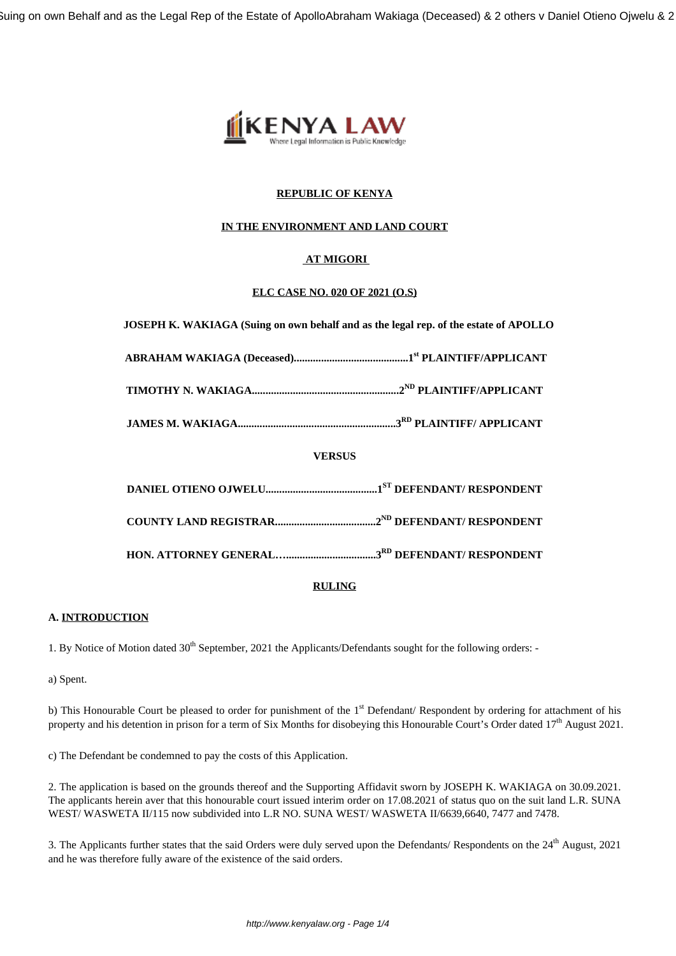

## **REPUBLIC OF KENYA**

### **IN THE ENVIRONMENT AND LAND COURT**

## **AT MIGORI**

### **ELC CASE NO. 020 OF 2021 (O.S)**

 **JOSEPH K. WAKIAGA (Suing on own behalf and as the legal rep. of the estate of APOLLO**

**ABRAHAM WAKIAGA (Deceased)..........................................1st PLAINTIFF/APPLICANT**

**TIMOTHY N. WAKIAGA......................................................2ND PLAINTIFF/APPLICANT**

**JAMES M. WAKIAGA..........................................................3RD PLAINTIFF/ APPLICANT**

## **VERSUS**

## **RULING**

# **A. INTRODUCTION**

1. By Notice of Motion dated 30<sup>th</sup> September, 2021 the Applicants/Defendants sought for the following orders: -

a) Spent.

b) This Honourable Court be pleased to order for punishment of the  $1<sup>st</sup>$  Defendant/ Respondent by ordering for attachment of his property and his detention in prison for a term of Six Months for disobeying this Honourable Court's Order dated 17<sup>th</sup> August 2021.

c) The Defendant be condemned to pay the costs of this Application.

2. The application is based on the grounds thereof and the Supporting Affidavit sworn by JOSEPH K. WAKIAGA on 30.09.2021. The applicants herein aver that this honourable court issued interim order on 17.08.2021 of status quo on the suit land L.R. SUNA WEST/ WASWETA II/115 now subdivided into L.R NO. SUNA WEST/ WASWETA II/6639,6640, 7477 and 7478.

3. The Applicants further states that the said Orders were duly served upon the Defendants/ Respondents on the 24<sup>th</sup> August, 2021 and he was therefore fully aware of the existence of the said orders.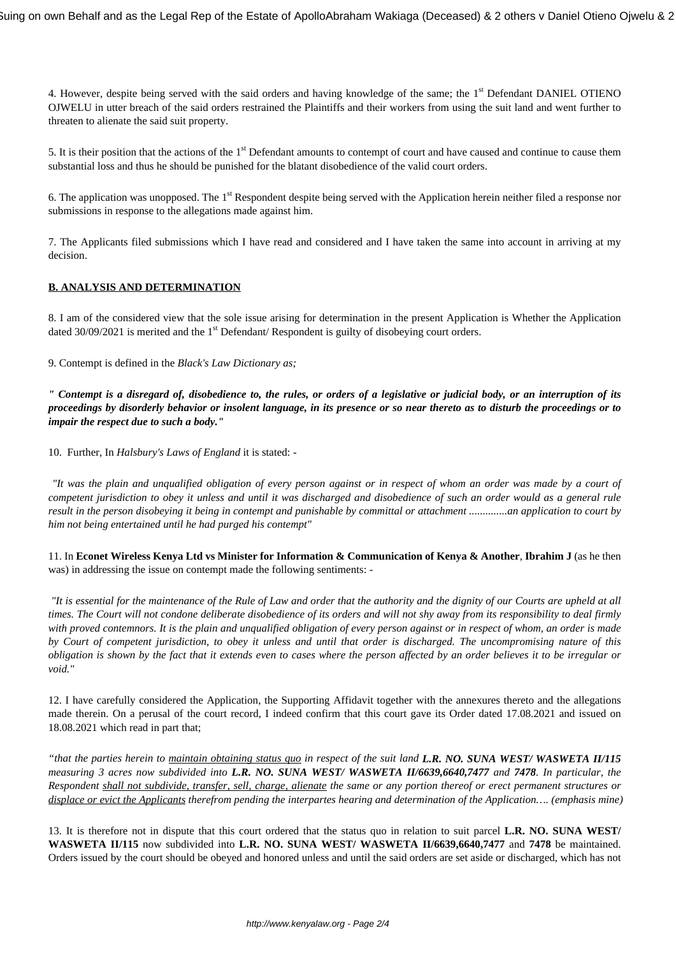4. However, despite being served with the said orders and having knowledge of the same; the 1<sup>st</sup> Defendant DANIEL OTIENO OJWELU in utter breach of the said orders restrained the Plaintiffs and their workers from using the suit land and went further to threaten to alienate the said suit property.

5. It is their position that the actions of the 1<sup>st</sup> Defendant amounts to contempt of court and have caused and continue to cause them substantial loss and thus he should be punished for the blatant disobedience of the valid court orders.

6. The application was unopposed. The 1<sup>st</sup> Respondent despite being served with the Application herein neither filed a response nor submissions in response to the allegations made against him.

7. The Applicants filed submissions which I have read and considered and I have taken the same into account in arriving at my decision.

### **B. ANALYSIS AND DETERMINATION**

8. I am of the considered view that the sole issue arising for determination in the present Application is Whether the Application dated 30/09/2021 is merited and the 1<sup>st</sup> Defendant/ Respondent is guilty of disobeying court orders.

9. Contempt is defined in the *Black's Law Dictionary as;*

*" Contempt is a disregard of, disobedience to, the rules, or orders of a legislative or judicial body, or an interruption of its proceedings by disorderly behavior or insolent language, in its presence or so near thereto as to disturb the proceedings or to impair the respect due to such a body."*

10. Further, In *Halsbury's Laws of England* it is stated: -

*"It was the plain and unqualified obligation of every person against or in respect of whom an order was made by a court of competent jurisdiction to obey it unless and until it was discharged and disobedience of such an order would as a general rule result in the person disobeying it being in contempt and punishable by committal or attachment ..............an application to court by him not being entertained until he had purged his contempt"*

11. In **Econet Wireless Kenya Ltd vs Minister for Information & Communication of Kenya & Another**, **Ibrahim J** (as he then was) in addressing the issue on contempt made the following sentiments: -

*"It is essential for the maintenance of the Rule of Law and order that the authority and the dignity of our Courts are upheld at all times. The Court will not condone deliberate disobedience of its orders and will not shy away from its responsibility to deal firmly with proved contemnors. It is the plain and unqualified obligation of every person against or in respect of whom, an order is made by Court of competent jurisdiction, to obey it unless and until that order is discharged. The uncompromising nature of this obligation is shown by the fact that it extends even to cases where the person affected by an order believes it to be irregular or void."*

12. I have carefully considered the Application, the Supporting Affidavit together with the annexures thereto and the allegations made therein. On a perusal of the court record, I indeed confirm that this court gave its Order dated 17.08.2021 and issued on 18.08.2021 which read in part that;

*"that the parties herein to maintain obtaining status quo in respect of the suit land L.R. NO. SUNA WEST/ WASWETA II/115 measuring 3 acres now subdivided into L.R. NO. SUNA WEST/ WASWETA II/6639,6640,7477 and 7478. In particular, the Respondent shall not subdivide, transfer, sell, charge, alienate the same or any portion thereof or erect permanent structures or displace or evict the Applicants therefrom pending the interpartes hearing and determination of the Application…. (emphasis mine)*

13. It is therefore not in dispute that this court ordered that the status quo in relation to suit parcel **L.R. NO. SUNA WEST/ WASWETA II/115** now subdivided into **L.R. NO. SUNA WEST/ WASWETA II/6639,6640,7477** and **7478** be maintained. Orders issued by the court should be obeyed and honored unless and until the said orders are set aside or discharged, which has not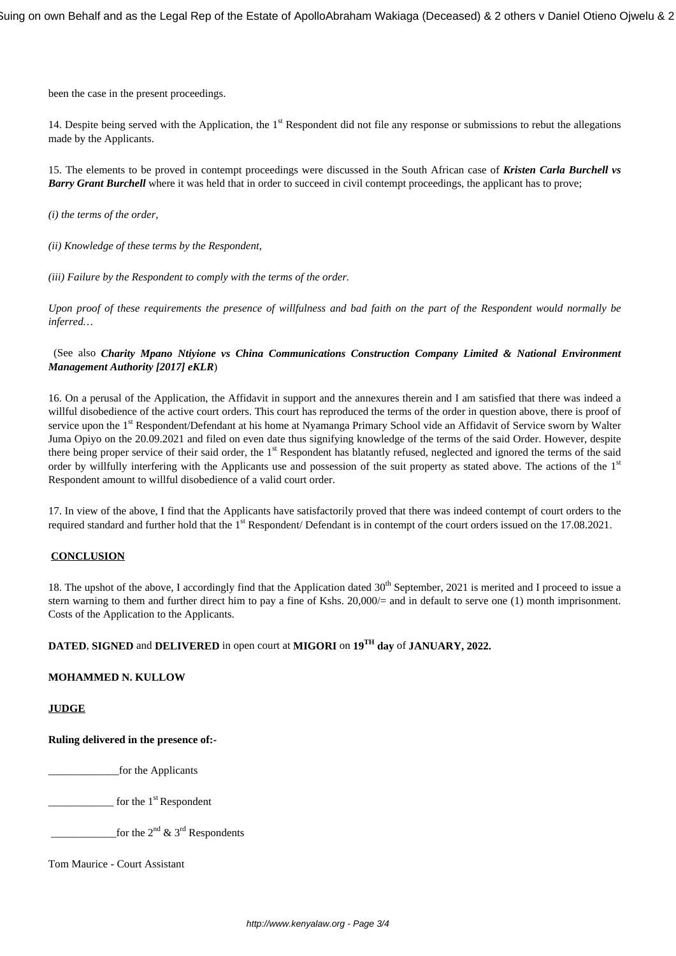been the case in the present proceedings.

14. Despite being served with the Application, the  $1<sup>st</sup>$  Respondent did not file any response or submissions to rebut the allegations made by the Applicants.

15. The elements to be proved in contempt proceedings were discussed in the South African case of *Kristen Carla Burchell vs* **Barry Grant Burchell** where it was held that in order to succeed in civil contempt proceedings, the applicant has to prove;

*(i) the terms of the order,*

*(ii) Knowledge of these terms by the Respondent,*

*(iii) Failure by the Respondent to comply with the terms of the order.*

*Upon proof of these requirements the presence of willfulness and bad faith on the part of the Respondent would normally be inferred…*

#### (See also *Charity Mpano Ntiyione vs China Communications Construction Company Limited & National Environment Management Authority [2017] eKLR*)

16. On a perusal of the Application, the Affidavit in support and the annexures therein and I am satisfied that there was indeed a willful disobedience of the active court orders. This court has reproduced the terms of the order in question above, there is proof of service upon the 1<sup>st</sup> Respondent/Defendant at his home at Nyamanga Primary School vide an Affidavit of Service sworn by Walter Juma Opiyo on the 20.09.2021 and filed on even date thus signifying knowledge of the terms of the said Order. However, despite there being proper service of their said order, the 1<sup>st</sup> Respondent has blatantly refused, neglected and ignored the terms of the said order by willfully interfering with the Applicants use and possession of the suit property as stated above. The actions of the 1st Respondent amount to willful disobedience of a valid court order.

17. In view of the above, I find that the Applicants have satisfactorily proved that there was indeed contempt of court orders to the required standard and further hold that the 1<sup>st</sup> Respondent/ Defendant is in contempt of the court orders issued on the 17.08.2021.

#### **CONCLUSION**

18. The upshot of the above, I accordingly find that the Application dated 30<sup>th</sup> September, 2021 is merited and I proceed to issue a stern warning to them and further direct him to pay a fine of Kshs. 20,000/= and in default to serve one (1) month imprisonment. Costs of the Application to the Applicants.

# **DATED**, **SIGNED** and **DELIVERED** in open court at **MIGORI** on **19TH day** of **JANUARY, 2022.**

### **MOHAMMED N. KULLOW**

**JUDGE**

**Ruling delivered in the presence of:-**

for the Applicants

 $_1$  for the  $1<sup>st</sup>$  Respondent

 $\frac{1}{2}$  for the 2<sup>nd</sup> & 3<sup>rd</sup> Respondents

Tom Maurice - Court Assistant